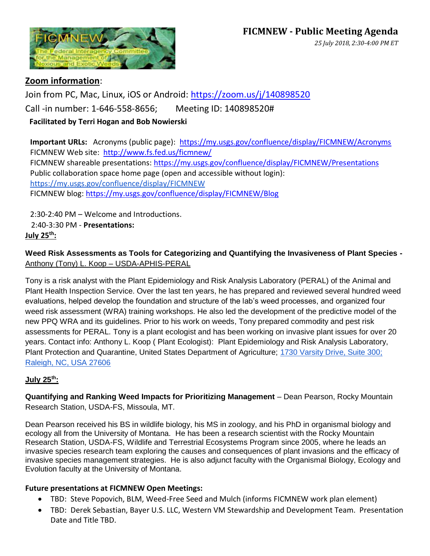

# **Zoom information**:

Join from PC, Mac, Linux, iOS or Android:<https://zoom.us/j/140898520> Call -in number: 1-646-558-8656; Meeting ID: 140898520# **Facilitated by Terri Hogan and Bob Nowierski**

**Important URLs:** Acronyms (public page): <https://my.usgs.gov/confluence/display/FICMNEW/Acronyms> FICMNEW Web site: <http://www.fs.fed.us/ficmnew/> FICMNEW shareable presentations:<https://my.usgs.gov/confluence/display/FICMNEW/Presentations> Public collaboration space home page (open and accessible without login): <https://my.usgs.gov/confluence/display/FICMNEW> FICMNEW blog: <https://my.usgs.gov/confluence/display/FICMNEW/Blog>

2:30-2:40 PM – Welcome and Introductions. 2:40-3:30 PM - **Presentations: July 25th:**

**Weed Risk Assessments as Tools for Categorizing and Quantifying the Invasiveness of Plant Species -**  Anthony (Tony) L. Koop – USDA-APHIS-PERAL

Tony is a risk analyst with the Plant Epidemiology and Risk Analysis Laboratory (PERAL) of the Animal and Plant Health Inspection Service. Over the last ten years, he has prepared and reviewed several hundred weed evaluations, helped develop the foundation and structure of the lab's weed processes, and organized four weed risk assessment (WRA) training workshops. He also led the development of the predictive model of the new PPQ WRA and its guidelines. Prior to his work on weeds, Tony prepared commodity and pest risk assessments for PERAL. Tony is a plant ecologist and has been working on invasive plant issues for over 20 years. Contact info: Anthony L. Koop ( Plant Ecologist): Plant Epidemiology and Risk Analysis Laboratory, Plant Protection and Quarantine, United States Department of Agriculture; [1730 Varsity Drive, Suite 300;](https://maps.google.com/?q=1730+Varsity+Drive,+Suite+300;+Raleigh,+NC,+USA+27606&entry=gmail&source=g)  [Raleigh, NC, USA 27606](https://maps.google.com/?q=1730+Varsity+Drive,+Suite+300;+Raleigh,+NC,+USA+27606&entry=gmail&source=g)

## **July 25th:**

**Quantifying and Ranking Weed Impacts for Prioritizing Management** – Dean Pearson, Rocky Mountain Research Station, USDA-FS, Missoula, MT.

Dean Pearson received his BS in wildlife biology, his MS in zoology, and his PhD in organismal biology and ecology all from the University of Montana. He has been a research scientist with the Rocky Mountain Research Station, USDA-FS, Wildlife and Terrestrial Ecosystems Program since 2005, where he leads an invasive species research team exploring the causes and consequences of plant invasions and the efficacy of invasive species management strategies. He is also adjunct faculty with the Organismal Biology, Ecology and Evolution faculty at the University of Montana.

## **Future presentations at FICMNEW Open Meetings:**

- TBD: Steve Popovich, BLM, Weed-Free Seed and Mulch (informs FICMNEW work plan element)
- TBD: Derek Sebastian, Bayer U.S. LLC, Western VM Stewardship and Development Team. Presentation Date and Title TBD.